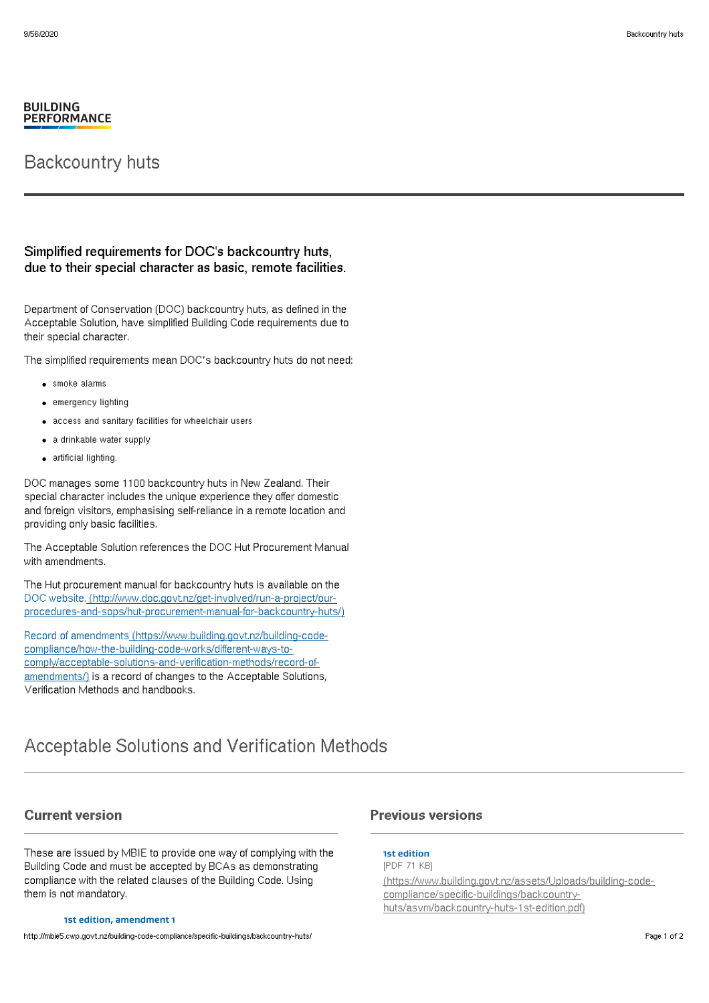#### **BUILDING PERFORMANCE**

## Backcountry huts

### Simplified requirements for DOC's backcountry huts, due to their special character as basic, remote facilities.

Department of Conservation (DOC) backcountry huts, as defined in the Acceptable Solution, have simplified Building Code requirements due to their special character.

The simplified requirements mean DOC's backcountry huts do not need:

- **•** smoke alarms
- emergency lighting
- access and sanitary facilities for wheelchair users
- a drinkable water supply
- artificial lighting.

DOC manages some 1100 backcountry huts in New Zealand. Their special character includes the unique experience they offer domestic and foreign visitors, emphasising self-reliance in a remote location and providing only basic facilities.

The Acceptable Solution references the DOC Hut Procurement Manual with amendments.

The Hut procurement manual for backcountry huts is available on the DOC website. (http://www.doc.govt.nz/get-involved/run-a-project/our[procedures-and-sops/hut-procurement-manual-for-backcountry-huts/\)](http://www.doc.govt.nz/get-involved/run-a-project/our-procedures-and-sops/hut-procurement-manual-for-backcountry-huts/)

Record of amendments (https://www.building.govt.nz/building-codecompliance/how-the-building-code-works/different-ways-to[comply/acceptable-solutions-and-verification-methods/record-of](http://mbie5.cwp.govt.nz/building-code-compliance/how-the-building-code-works/different-ways-to-comply/acceptable-solutions-and-verification-methods/record-of-amendments/)amendments/) is a record of changes to the Acceptable Solutions, Verification Methods and handbooks.

## Acceptable Solutions and Verification Methods

#### Current version

These are issued by MBIE to provide one way of complying with the Building Code and must be accepted by BCAs as demonstrating compliance with the related clauses of the Building Code. Using them is not mandatory.

#### **1st edition, amendment 1**

http://mbie5.cwp.govt.nz/building-code-compliance/specific-buildings/backcountry-huts/ Page 1 of 2

### Previous versions

**1st edition** [PDF 71 KB]

[\(https://www.building.govt.nz/assets/Uploads/building-code](http://mbie5.cwp.govt.nz/assets/Uploads/building-code-compliance/specific-buildings/backcountry-huts/asvm/backcountry-huts-1st-edition.pdf)compliance/specific-buildings/backcountryhuts/asvm/backcountry-huts-1st-edition.pdf)